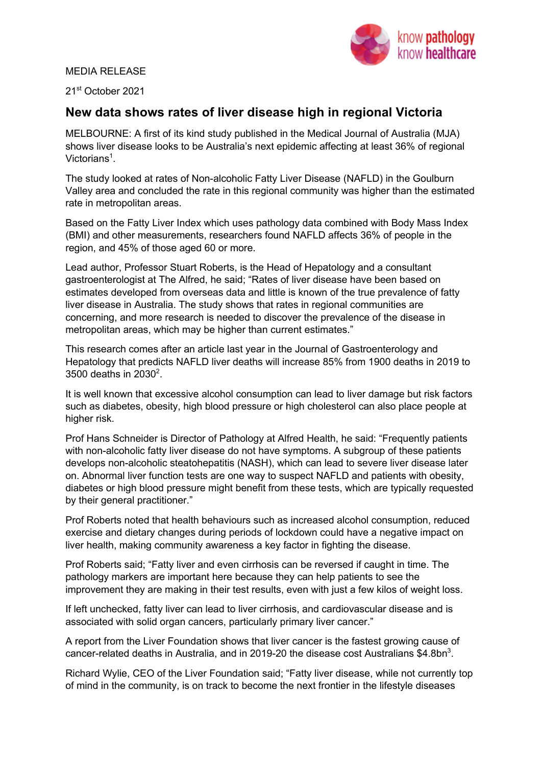## MEDIA RELEASE



21st October 2021

# **New data shows rates of liver disease high in regional Victoria**

MELBOURNE: A first of its kind study published in the Medical Journal of Australia (MJA) shows liver disease looks to be Australia's next epidemic affecting at least 36% of regional Victorians<sup>1</sup>.

The study looked at rates of Non-alcoholic Fatty Liver Disease (NAFLD) in the Goulburn Valley area and concluded the rate in this regional community was higher than the estimated rate in metropolitan areas.

Based on the Fatty Liver Index which uses pathology data combined with Body Mass Index (BMI) and other measurements, researchers found NAFLD affects 36% of people in the region, and 45% of those aged 60 or more.

Lead author, Professor Stuart Roberts, is the Head of Hepatology and a consultant gastroenterologist at The Alfred, he said; "Rates of liver disease have been based on estimates developed from overseas data and little is known of the true prevalence of fatty liver disease in Australia. The study shows that rates in regional communities are concerning, and more research is needed to discover the prevalence of the disease in metropolitan areas, which may be higher than current estimates."

This research comes after an article last year in the Journal of Gastroenterology and Hepatology that predicts NAFLD liver deaths will increase 85% from 1900 deaths in 2019 to 3500 deaths in 2030<sup>2</sup>.

It is well known that excessive alcohol consumption can lead to liver damage but risk factors such as diabetes, obesity, high blood pressure or high cholesterol can also place people at higher risk.

Prof Hans Schneider is Director of Pathology at Alfred Health, he said: "Frequently patients with non-alcoholic fatty liver disease do not have symptoms. A subgroup of these patients develops non-alcoholic steatohepatitis (NASH), which can lead to severe liver disease later on. Abnormal liver function tests are one way to suspect NAFLD and patients with obesity, diabetes or high blood pressure might benefit from these tests, which are typically requested by their general practitioner."

Prof Roberts noted that health behaviours such as increased alcohol consumption, reduced exercise and dietary changes during periods of lockdown could have a negative impact on liver health, making community awareness a key factor in fighting the disease.

Prof Roberts said; "Fatty liver and even cirrhosis can be reversed if caught in time. The pathology markers are important here because they can help patients to see the improvement they are making in their test results, even with just a few kilos of weight loss.

If left unchecked, fatty liver can lead to liver cirrhosis, and cardiovascular disease and is associated with solid organ cancers, particularly primary liver cancer."

A report from the Liver Foundation shows that liver cancer is the fastest growing cause of cancer-related deaths in Australia, and in 2019-20 the disease cost Australians \$4.8bn<sup>3</sup>.

Richard Wylie, CEO of the Liver Foundation said; "Fatty liver disease, while not currently top of mind in the community, is on track to become the next frontier in the lifestyle diseases